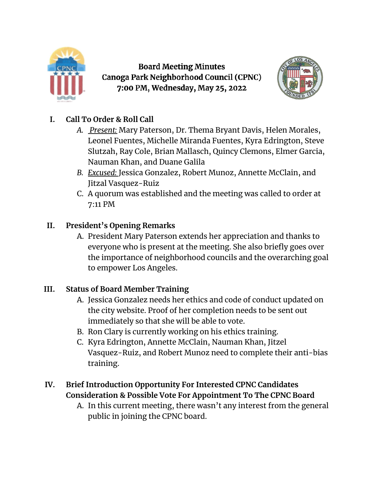

**Board Meeting Minutes** Canoga Park Neighborhood Council (CPNC) 7:00 PM, Wednesday, May 25, 2022



## **I. Call To Order & Roll Call**

- *A. Present:* Mary Paterson, Dr. Thema Bryant Davis, Helen Morales, Leonel Fuentes, Michelle Miranda Fuentes, Kyra Edrington, Steve Slutzah, Ray Cole, Brian Mallasch, Quincy Clemons, Elmer Garcia, Nauman Khan, and Duane Galila
- *B. Excused:* Jessica Gonzalez, Robert Munoz, Annette McClain, and Jitzal Vasquez-Ruiz
- C. A quorum was established and the meeting was called to order at 7:11 PM

# **II. President's Opening Remarks**

A. President Mary Paterson extends her appreciation and thanks to everyone who is present at the meeting. She also briefly goes over the importance of neighborhood councils and the overarching goal to empower Los Angeles.

## **III. Status of Board Member Training**

- A. Jessica Gonzalez needs her ethics and code of conduct updated on the city website. Proof of her completion needs to be sent out immediately so that she will be able to vote.
- B. Ron Clary is currently working on his ethics training.
- C. Kyra Edrington, Annette McClain, Nauman Khan, Jitzel Vasquez-Ruiz, and Robert Munoz need to complete their anti-bias training.

## **IV. Brief Introduction Opportunity For Interested CPNC Candidates Consideration & Possible Vote For Appointment To The CPNC Board**

A. In this current meeting, there wasn't any interest from the general public in joining the CPNC board.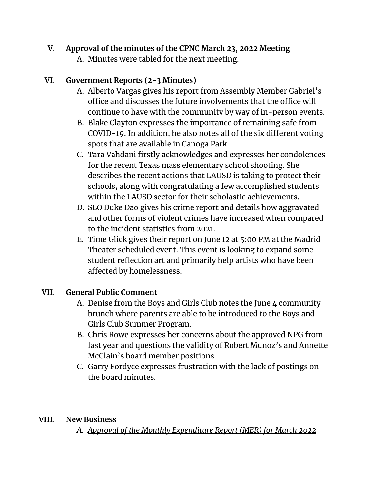## **V. Approval of the minutes of the CPNC March 23, 2022 Meeting**

A. Minutes were tabled for the next meeting.

## **VI. Government Reports (2-3 Minutes)**

- A. Alberto Vargas gives his report from Assembly Member Gabriel's office and discusses the future involvements that the office will continue to have with the community by way of in-person events.
- B. Blake Clayton expresses the importance of remaining safe from COVID-19. In addition, he also notes all of the six different voting spots that are available in Canoga Park.
- C. Tara Vahdani firstly acknowledges and expresses her condolences for the recent Texas mass elementary school shooting. She describes the recent actions that LAUSD is taking to protect their schools, along with congratulating a few accomplished students within the LAUSD sector for their scholastic achievements.
- D. SLO Duke Dao gives his crime report and details how aggravated and other forms of violent crimes have increased when compared to the incident statistics from 2021.
- E. Time Glick gives their report on June 12 at 5:00 PM at the Madrid Theater scheduled event. This event is looking to expand some student reflection art and primarily help artists who have been affected by homelessness.

## **VII. General Public Comment**

- A. Denise from the Boys and Girls Club notes the June 4 community brunch where parents are able to be introduced to the Boys and Girls Club Summer Program.
- B. Chris Rowe expresses her concerns about the approved NPG from last year and questions the validity of Robert Munoz's and Annette McClain's board member positions.
- C. Garry Fordyce expresses frustration with the lack of postings on the board minutes.

## **VIII. New Business**

*A. Approval of the Monthly Expenditure Report (MER) for March 2022*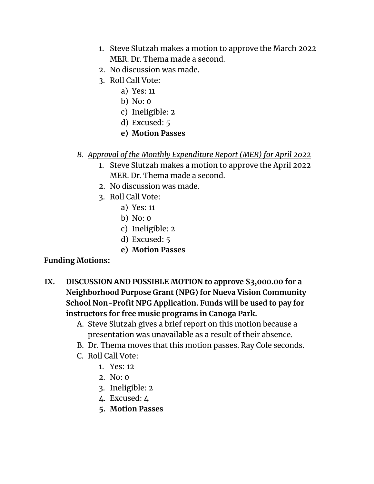- 1. Steve Slutzah makes a motion to approve the March 2022 MER. Dr. Thema made a second.
- 2. No discussion was made.
- 3. Roll Call Vote:
	- a) Yes: 11
	- b) No: 0
	- c) Ineligible: 2
	- d) Excused: 5
	- **e) Motion Passes**

#### *B. Approval of the Monthly Expenditure Report (MER) for April 2022*

- 1. Steve Slutzah makes a motion to approve the April 2022 MER. Dr. Thema made a second.
- 2. No discussion was made.
- 3. Roll Call Vote:
	- a) Yes: 11
	- b) No: 0
	- c) Ineligible: 2
	- d) Excused: 5
	- **e) Motion Passes**

## **Funding Motions:**

- **IX. DISCUSSION AND POSSIBLE MOTION to approve \$3,000.00 for a Neighborhood Purpose Grant (NPG) for Nueva Vision Community School Non-Profit NPG Application. Funds will be used to pay for instructors for free music programs in Canoga Park.**
	- A. Steve Slutzah gives a brief report on this motion because a presentation was unavailable as a result of their absence.
	- B. Dr. Thema moves that this motion passes. Ray Cole seconds.
	- C. Roll Call Vote:
		- 1. Yes: 12
		- 2. No: 0
		- 3. Ineligible: 2
		- 4. Excused: 4
		- **5. Motion Passes**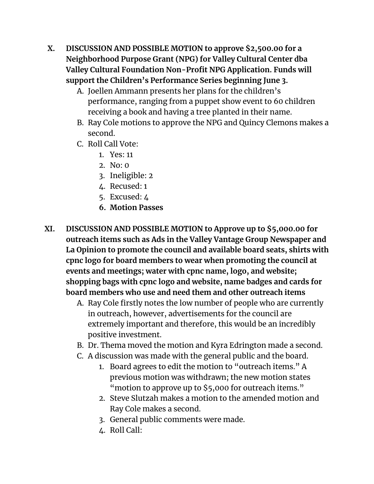- **X. DISCUSSION AND POSSIBLE MOTION to approve \$2,500.00 for a Neighborhood Purpose Grant (NPG) for Valley Cultural Center dba Valley Cultural Foundation Non-Profit NPG Application. Funds will support the Children's Performance Series beginning June 3.**
	- A. Joellen Ammann presents her plans for the children's performance, ranging from a puppet show event to 60 children receiving a book and having a tree planted in their name.
	- B. Ray Cole motions to approve the NPG and Quincy Clemons makes a second.
	- C. Roll Call Vote:
		- 1. Yes: 11
		- 2. No: 0
		- 3. Ineligible: 2
		- 4. Recused: 1
		- 5. Excused: 4
		- **6. Motion Passes**
- **XI. DISCUSSION AND POSSIBLE MOTION to Approve up to \$5,000.00 for outreach items such as Ads in the Valley Vantage Group Newspaper and La Opinion to promote the council and available board seats, shirts with cpnc logo for board members to wear when promoting the council at events and meetings; water with cpnc name, logo, and website; shopping bags with cpnc logo and website, name badges and cards for board members who use and need them and other outreach items**
	- A. Ray Cole firstly notes the low number of people who are currently in outreach, however, advertisements for the council are extremely important and therefore, this would be an incredibly positive investment.
	- B. Dr. Thema moved the motion and Kyra Edrington made a second.
	- C. A discussion was made with the general public and the board.
		- 1. Board agrees to edit the motion to "outreach items." A previous motion was withdrawn; the new motion states "motion to approve up to \$5,000 for outreach items."
		- 2. Steve Slutzah makes a motion to the amended motion and Ray Cole makes a second.
		- 3. General public comments were made.
		- 4. Roll Call: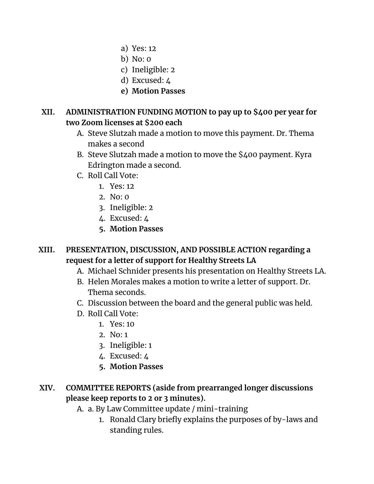- a) Yes: 12
- b) No: 0
- c) Ineligible: 2
- d) Excused: 4
- **e) Motion Passes**

#### **XII. ADMINISTRATION FUNDING MOTION to pay up to \$400 per year for two Zoom licenses at \$200 each**

- A. Steve Slutzah made a motion to move this payment. Dr. Thema makes a second
- B. Steve Slutzah made a motion to move the \$400 payment. Kyra Edrington made a second.
- C. Roll Call Vote:
	- 1. Yes: 12
	- 2. No: 0
	- 3. Ineligible: 2
	- 4. Excused: 4
	- **5. Motion Passes**

## **XIII. PRESENTATION, DISCUSSION, AND POSSIBLE ACTION regarding a request for a letter of support for Healthy Streets LA**

- A. Michael Schnider presents his presentation on Healthy Streets LA.
- B. Helen Morales makes a motion to write a letter of support. Dr. Thema seconds.
- C. Discussion between the board and the general public was held.
- D. Roll Call Vote:
	- 1. Yes: 10
	- 2. No: 1
	- 3. Ineligible: 1
	- 4. Excused: 4
	- **5. Motion Passes**

# **XIV. COMMITTEE REPORTS (aside from prearranged longer discussions please keep reports to 2 or 3 minutes).**

- A. a. By Law Committee update / mini-training
	- 1. Ronald Clary briefly explains the purposes of by-laws and standing rules.